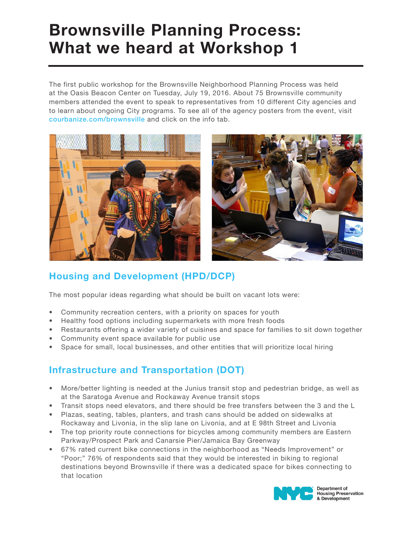# Brownsville Planning Process: What we heard at Workshop 1

The first public workshop for the Brownsville Neighborhood Planning Process was held at the Oasis Beacon Center on Tuesday, July 19, 2016. About 75 Brownsville community members attended the event to speak to representatives from 10 different City agencies and to learn about ongoing City programs. To see all of the agency posters from the event, visit courbanize.com/brownsville and click on the info tab.



## Housing and Development (HPD/DCP)

The most popular ideas regarding what should be built on vacant lots were:

- Community recreation centers, with a priority on spaces for youth
- Healthy food options including supermarkets with more fresh foods
- Restaurants offering a wider variety of cuisines and space for families to sit down together
- Community event space available for public use
- Space for small, local businesses, and other entities that will prioritize local hiring

## Infrastructure and Transportation (DOT)

- More/better lighting is needed at the Junius transit stop and pedestrian bridge, as well as at the Saratoga Avenue and Rockaway Avenue transit stops
- Transit stops need elevators, and there should be free transfers between the 3 and the L
- Plazas, seating, tables, planters, and trash cans should be added on sidewalks at Rockaway and Livonia, in the slip lane on Livonia, and at E 98th Street and Livonia
- The top priority route connections for bicycles among community members are Eastern Parkway/Prospect Park and Canarsie Pier/Jamaica Bay Greenway
- 67% rated current bike connections in the neighborhood as "Needs Improvement" or "Poor;" 76% of respondents said that they would be interested in biking to regional destinations beyond Brownsville if there was a dedicated space for bikes connecting to that location



**Housing Preservation** & Development